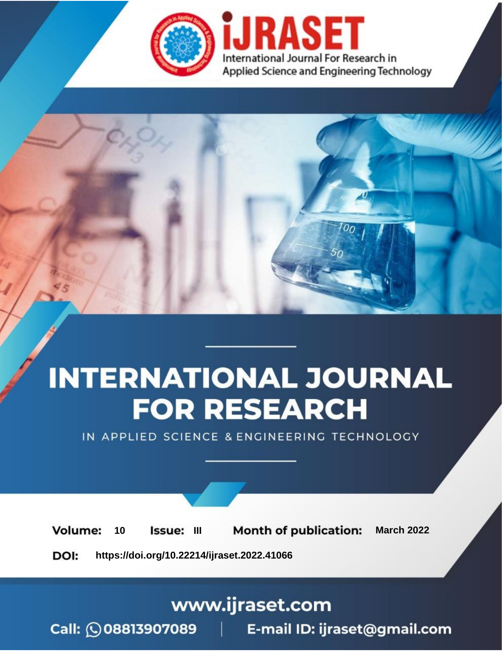

# **INTERNATIONAL JOURNAL FOR RESEARCH**

IN APPLIED SCIENCE & ENGINEERING TECHNOLOGY

10 **Issue: III Month of publication:** March 2022 **Volume:** 

**https://doi.org/10.22214/ijraset.2022.41066**DOI:

www.ijraset.com

Call: 008813907089 | E-mail ID: ijraset@gmail.com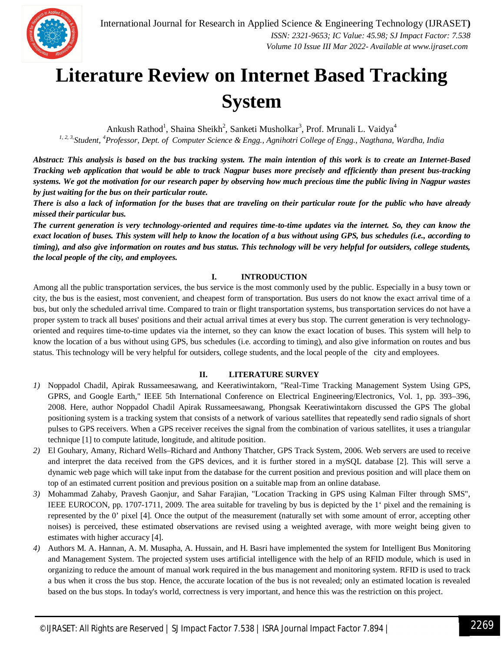

### **Literature Review on Internet Based Tracking System**

Ankush Rathod<sup>1</sup>, Shaina Sheikh<sup>2</sup>, Sanketi Musholkar<sup>3</sup>, Prof. Mrunali L. Vaidya<sup>4</sup> *1, 2, 3,Student, <sup>4</sup>Professor, Dept. of Computer Science & Engg., Agnihotri College of Engg., Nagthana, Wardha, India*

*Abstract: This analysis is based on the bus tracking system. The main intention of this work is to create an Internet-Based Tracking web application that would be able to track Nagpur buses more precisely and efficiently than present bus-tracking systems. We got the motivation for our research paper by observing how much precious time the public living in Nagpur wastes by just waiting for the bus on their particular route.* 

*There is also a lack of information for the buses that are traveling on their particular route for the public who have already missed their particular bus.* 

*The current generation is very technology-oriented and requires time-to-time updates via the internet. So, they can know the exact location of buses. This system will help to know the location of a bus without using GPS, bus schedules (i.e., according to timing), and also give information on routes and bus status. This technology will be very helpful for outsiders, college students, the local people of the city, and employees.*

#### **I. INTRODUCTION**

Among all the public transportation services, the bus service is the most commonly used by the public. Especially in a busy town or city, the bus is the easiest, most convenient, and cheapest form of transportation. Bus users do not know the exact arrival time of a bus, but only the scheduled arrival time. Compared to train or flight transportation systems, bus transportation services do not have a proper system to track all buses' positions and their actual arrival times at every bus stop. The current generation is very technologyoriented and requires time-to-time updates via the internet, so they can know the exact location of buses. This system will help to know the location of a bus without using GPS, bus schedules (i.e. according to timing), and also give information on routes and bus status. This technology will be very helpful for outsiders, college students, and the local people of the city and employees.

#### **II. LITERATURE SURVEY**

- *1)* Noppadol Chadil, Apirak Russameesawang, and Keeratiwintakorn, "Real-Time Tracking Management System Using GPS, GPRS, and Google Earth," IEEE 5th International Conference on Electrical Engineering/Electronics, Vol. 1, pp. 393–396, 2008. Here, author Noppadol Chadil Apirak Russameesawang, Phongsak Keeratiwintakorn discussed the GPS The global positioning system is a tracking system that consists of a network of various satellites that repeatedly send radio signals of short pulses to GPS receivers. When a GPS receiver receives the signal from the combination of various satellites, it uses a triangular technique [1] to compute latitude, longitude, and altitude position.
- *2)* El Gouhary, Amany, Richard Wells–Richard and Anthony Thatcher, GPS Track System, 2006. Web servers are used to receive and interpret the data received from the GPS devices, and it is further stored in a mySQL database [2]. This will serve a dynamic web page which will take input from the database for the current position and previous position and will place them on top of an estimated current position and previous position on a suitable map from an online database.
- *3)* Mohammad Zahaby, Pravesh Gaonjur, and Sahar Farajian, "Location Tracking in GPS using Kalman Filter through SMS", IEEE EUROCON, pp. 1707-1711, 2009. The area suitable for traveling by bus is depicted by the 1' pixel and the remaining is represented by the 0' pixel [4]. Once the output of the measurement (naturally set with some amount of error, accepting other noises) is perceived, these estimated observations are revised using a weighted average, with more weight being given to estimates with higher accuracy [4].
- *4)* Authors M. A. Hannan, A. M. Musapha, A. Hussain, and H. Basri have implemented the system for Intelligent Bus Monitoring and Management System. The projected system uses artificial intelligence with the help of an RFID module, which is used in organizing to reduce the amount of manual work required in the bus management and monitoring system. RFID is used to track a bus when it cross the bus stop. Hence, the accurate location of the bus is not revealed; only an estimated location is revealed based on the bus stops. In today's world, correctness is very important, and hence this was the restriction on this project.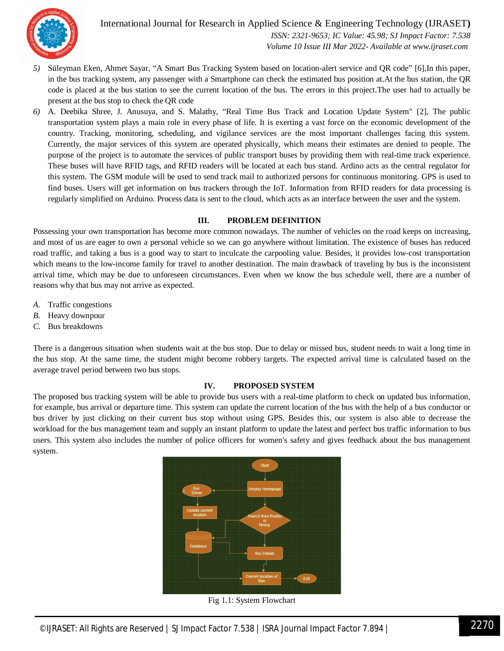

International Journal for Research in Applied Science & Engineering Technology (IJRASET**)**  *ISSN: 2321-9653; IC Value: 45.98; SJ Impact Factor: 7.538 Volume 10 Issue III Mar 2022- Available at www.ijraset.com*

- *5)* Süleyman Eken, Ahmet Sayar, "A Smart Bus Tracking System based on location-alert service and QR code" [6],In this paper, in the bus tracking system, any passenger with a Smartphone can check the estimated bus position at.At the bus station, the QR code is placed at the bus station to see the current location of the bus. The errors in this project.The user had to actually be present at the bus stop to check the QR code
- *6)* A. Deebika Shree, J. Anusuya, and S. Malathy, "Real Time Bus Track and Location Update System" [2], The public transportation system plays a main role in every phase of life. It is exerting a vast force on the economic development of the country. Tracking, monitoring, scheduling, and vigilance services are the most important challenges facing this system. Currently, the major services of this system are operated physically, which means their estimates are denied to people. The purpose of the project is to automate the services of public transport buses by providing them with real-time track experience. These buses will have RFID tags, and RFID readers will be located at each bus stand. Ardino acts as the central regulator for this system. The GSM module will be used to send track mail to authorized persons for continuous monitoring. GPS is used to find buses. Users will get information on bus trackers through the IoT. Information from RFID readers for data processing is regularly simplified on Arduino. Process data is sent to the cloud, which acts as an interface between the user and the system.

#### **III. PROBLEM DEFINITION**

Possessing your own transportation has become more common nowadays. The number of vehicles on the road keeps on increasing, and most of us are eager to own a personal vehicle so we can go anywhere without limitation. The existence of buses has reduced road traffic, and taking a bus is a good way to start to inculcate the carpooling value. Besides, it provides low-cost transportation which means to the low-income family for travel to another destination. The main drawback of traveling by bus is the inconsistent arrival time, which may be due to unforeseen circumstances. Even when we know the bus schedule well, there are a number of reasons why that bus may not arrive as expected.

- *A.* Traffic congestions
- *B.* Heavy downpour
- *C.* Bus breakdowns

There is a dangerous situation when students wait at the bus stop. Due to delay or missed bus, student needs to wait a long time in the bus stop. At the same time, the student might become robbery targets. The expected arrival time is calculated based on the average travel period between two bus stops.

#### **IV. PROPOSED SYSTEM**

The proposed bus tracking system will be able to provide bus users with a real-time platform to check on updated bus information, for example, bus arrival or departure time. This system can update the current location of the bus with the help of a bus conductor or bus driver by just clicking on their current bus stop without using GPS. Besides this, our system is also able to decrease the workload for the bus management team and supply an instant platform to update the latest and perfect bus traffic information to bus users. This system also includes the number of police officers for women's safety and gives feedback about the bus management system.



Fig 1.1: System Flowchart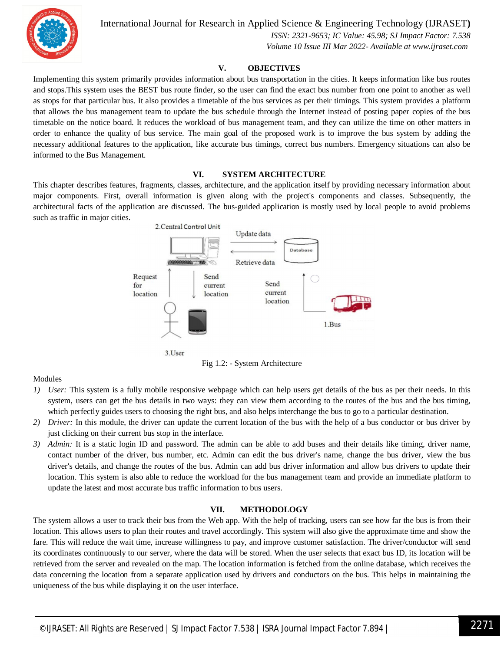

International Journal for Research in Applied Science & Engineering Technology (IJRASET**)**

 *ISSN: 2321-9653; IC Value: 45.98; SJ Impact Factor: 7.538 Volume 10 Issue III Mar 2022- Available at www.ijraset.com*

#### **V. OBJECTIVES**

Implementing this system primarily provides information about bus transportation in the cities. It keeps information like bus routes and stops.This system uses the BEST bus route finder, so the user can find the exact bus number from one point to another as well as stops for that particular bus. It also provides a timetable of the bus services as per their timings. This system provides a platform that allows the bus management team to update the bus schedule through the Internet instead of posting paper copies of the bus timetable on the notice board. It reduces the workload of bus management team, and they can utilize the time on other matters in order to enhance the quality of bus service. The main goal of the proposed work is to improve the bus system by adding the necessary additional features to the application, like accurate bus timings, correct bus numbers. Emergency situations can also be informed to the Bus Management.

#### **VI. SYSTEM ARCHITECTURE**

This chapter describes features, fragments, classes, architecture, and the application itself by providing necessary information about major components. First, overall information is given along with the project's components and classes. Subsequently, the architectural facts of the application are discussed. The bus-guided application is mostly used by local people to avoid problems such as traffic in major cities.





#### Modules

- *1) User:* This system is a fully mobile responsive webpage which can help users get details of the bus as per their needs. In this system, users can get the bus details in two ways: they can view them according to the routes of the bus and the bus timing, which perfectly guides users to choosing the right bus, and also helps interchange the bus to go to a particular destination.
- *2) Driver:* In this module, the driver can update the current location of the bus with the help of a bus conductor or bus driver by just clicking on their current bus stop in the interface.
- *3) Admin:* It is a static login ID and password. The admin can be able to add buses and their details like timing, driver name, contact number of the driver, bus number, etc. Admin can edit the bus driver's name, change the bus driver, view the bus driver's details, and change the routes of the bus. Admin can add bus driver information and allow bus drivers to update their location. This system is also able to reduce the workload for the bus management team and provide an immediate platform to update the latest and most accurate bus traffic information to bus users.

#### **VII. METHODOLOGY**

The system allows a user to track their bus from the Web app. With the help of tracking, users can see how far the bus is from their location. This allows users to plan their routes and travel accordingly. This system will also give the approximate time and show the fare. This will reduce the wait time, increase willingness to pay, and improve customer satisfaction. The driver/conductor will send its coordinates continuously to our server, where the data will be stored. When the user selects that exact bus ID, its location will be retrieved from the server and revealed on the map. The location information is fetched from the online database, which receives the data concerning the location from a separate application used by drivers and conductors on the bus. This helps in maintaining the uniqueness of the bus while displaying it on the user interface.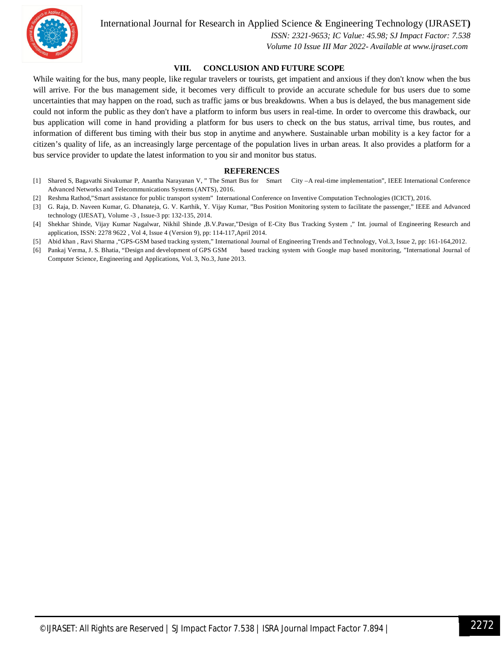

#### International Journal for Research in Applied Science & Engineering Technology (IJRASET**)**

 *ISSN: 2321-9653; IC Value: 45.98; SJ Impact Factor: 7.538*

 *Volume 10 Issue III Mar 2022- Available at www.ijraset.com*

#### **VIII. CONCLUSION AND FUTURE SCOPE**

While waiting for the bus, many people, like regular travelers or tourists, get impatient and anxious if they don't know when the bus will arrive. For the bus management side, it becomes very difficult to provide an accurate schedule for bus users due to some uncertainties that may happen on the road, such as traffic jams or bus breakdowns. When a bus is delayed, the bus management side could not inform the public as they don't have a platform to inform bus users in real-time. In order to overcome this drawback, our bus application will come in hand providing a platform for bus users to check on the bus status, arrival time, bus routes, and information of different bus timing with their bus stop in anytime and anywhere. Sustainable urban mobility is a key factor for a citizen's quality of life, as an increasingly large percentage of the population lives in urban areas. It also provides a platform for a bus service provider to update the latest information to you sir and monitor bus status.

#### **REFERENCES**

- [1] Shared S, Bagavathi Sivakumar P, Anantha Narayanan V, " The Smart Bus for Smart City –A real-time implementation", IEEE International Conference Advanced Networks and Telecommunications Systems (ANTS), 2016.
- [2] Reshma Rathod,"Smart assistance for public transport system" International Conference on Inventive Computation Technologies (ICICT), 2016.
- [3] G. Raja, D. Naveen Kumar, G. Dhanateja, G. V. Karthik, Y. Vijay Kumar, "Bus Position Monitoring system to facilitate the passenger," IEEE and Advanced technology (IJESAT), Volume -3 , Issue-3 pp: 132-135, 2014.
- [4] Shekhar Shinde, Vijay Kumar Nagalwar, Nikhil Shinde ,B.V.Pawar,"Design of E-City Bus Tracking System ," Int. journal of Engineering Research and application, ISSN: 2278 9622 , Vol 4, Issue 4 (Version 9), pp: 114-117,April 2014.
- [5] Abid khan , Ravi Sharma ,"GPS-GSM based tracking system," International Journal of Engineering Trends and Technology, Vol.3, Issue 2, pp: 161-164,2012.
- [6] Pankaj Verma, J. S. Bhatia, "Design and development of GPS GSM based tracking system with Google map based monitoring, "International Journal of Computer Science, Engineering and Applications, Vol. 3, No.3, June 2013.